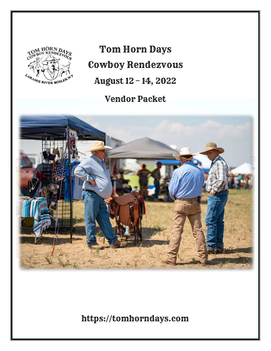

Tom Horn Days Cowboy Rendezvous August 12 – 14, 2022

Vendor Packet



https://tomhorndays.com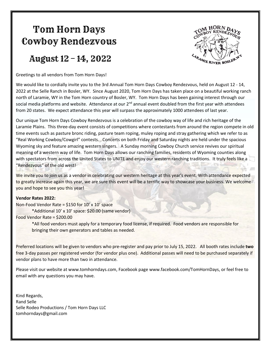# Tom Horn Days Cowboy Rendezvous

## August 12 – 14, 2022

Greetings to all vendors from Tom Horn Days!



We would like to cordially invite you to the 3rd Annual Tom Horn Days Cowboy Rendezvous, held on August 12 - 14, 2022 at the Selle Ranch in Bosler, WY. Since August 2020, Tom Horn Days has taken place on a beautiful working ranch north of Laramie, WY in the Tom Horn country of Bosler, WY. Tom Horn Days has been gaining interest through our social media platforms and website. Attendance at our  $2^{nd}$  annual event doubled from the first year with attendees from 20 states. We expect attendance this year will surpass the approximately 1000 attendees of last year.

Our unique Tom Horn Days Cowboy Rendezvous is a celebration of the cowboy way of life and rich heritage of the Laramie Plains. This three-day event consists of competitions where contestants from around the region compete in old time events such as pasture bronc riding, pasture team roping, muley roping and stray gathering which we refer to as "Real Working Cowboy/Cowgirl" contests. Concerts on both Friday and Saturday nights are held under the spacious Wyoming sky and feature amazing western singers. A Sunday morning Cowboy Church service revives our spiritual meaning of a western way of life. Tom Horn Days allows our ranching families, residents of Wyoming counties along with spectators from across the United States to UNITE and enjoy our western ranching traditions. It truly feels like a "Rendezvous" of the old west!

We invite you to join us as a vendor in celebrating our western heritage at this year's event. With attendance expected to greatly increase again this year, we are sure this event will be a terrific way to showcase your business. We welcome you and hope to see you this year!

#### **Vendor Rates 2022:**

Non-Food Vendor Rate = \$150 for 10' x 10' space

\*Additional 10' x 10' space: \$20.00 (same vendor)

Food Vendor Rate = \$200.00

\*All food vendors must apply for a temporary food license, if required. Food vendors are responsible for bringing their own generators and tables as needed.

Preferred locations will be given to vendors who pre-register and pay prior to July 15, 2022. All booth rates include **two** free 3-day passes per registered vendor (for vendor plus one). Additional passes will need to be purchased separately if vendor plans to have more than two in attendance.

Please visit our website at www.tomhorndays.com, Facebook page www.facebook.com/TomHornDays, or feel free to email with any questions you may have.

Kind Regards, Rand Selle Selle Rodeo Productions / Tom Horn Days LLC tomhorndays@gmail.com